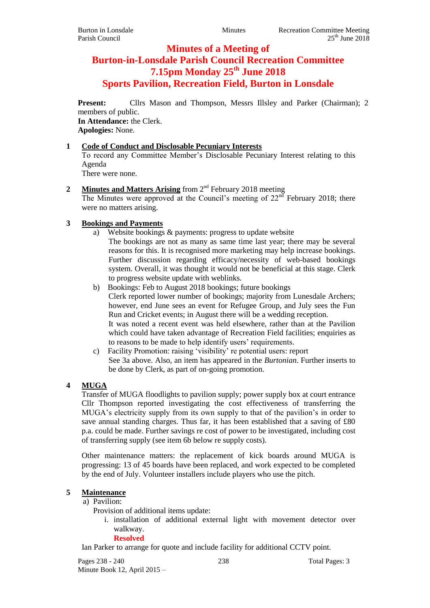# **Minutes of a Meeting of**

# **Burton-in-Lonsdale Parish Council Recreation Committee 7.15pm Monday 25th June 2018 Sports Pavilion, Recreation Field, Burton in Lonsdale**

Present: Cllrs Mason and Thompson, Messrs Illsley and Parker (Chairman); 2 members of public. **In Attendance:** the Clerk. **Apologies:** None.

# **1 Code of Conduct and Disclosable Pecuniary Interests**

To record any Committee Member's Disclosable Pecuniary Interest relating to this Agenda

There were none.

# 2 **Minutes and Matters Arising** from 2<sup>nd</sup> February 2018 meeting

The Minutes were approved at the Council's meeting of  $22<sup>nd</sup>$  February 2018; there were no matters arising.

# **3 Bookings and Payments**

- a) Website bookings & payments: progress to update website The bookings are not as many as same time last year; there may be several reasons for this. It is recognised more marketing may help increase bookings. Further discussion regarding efficacy/necessity of web-based bookings
	- system. Overall, it was thought it would not be beneficial at this stage. Clerk to progress website update with weblinks.
- b) Bookings: Feb to August 2018 bookings; future bookings Clerk reported lower number of bookings; majority from Lunesdale Archers; however, end June sees an event for Refugee Group, and July sees the Fun Run and Cricket events; in August there will be a wedding reception. It was noted a recent event was held elsewhere, rather than at the Pavilion which could have taken advantage of Recreation Field facilities; enquiries as to reasons to be made to help identify users' requirements.
- c) Facility Promotion: raising 'visibility' re potential users: report See 3a above. Also, an item has appeared in the *Burtonian*. Further inserts to be done by Clerk, as part of on-going promotion.

# **4 MUGA**

Transfer of MUGA floodlights to pavilion supply; power supply box at court entrance Cllr Thompson reported investigating the cost effectiveness of transferring the MUGA's electricity supply from its own supply to that of the pavilion's in order to save annual standing charges. Thus far, it has been established that a saving of £80 p.a. could be made. Further savings re cost of power to be investigated, including cost of transferring supply (see item 6b below re supply costs).

Other maintenance matters: the replacement of kick boards around MUGA is progressing: 13 of 45 boards have been replaced, and work expected to be completed by the end of July. Volunteer installers include players who use the pitch.

# **5 Maintenance**

#### a) Pavilion:

Provision of additional items update:

i. installation of additional external light with movement detector over walkway.

#### **Resolved**

Ian Parker to arrange for quote and include facility for additional CCTV point.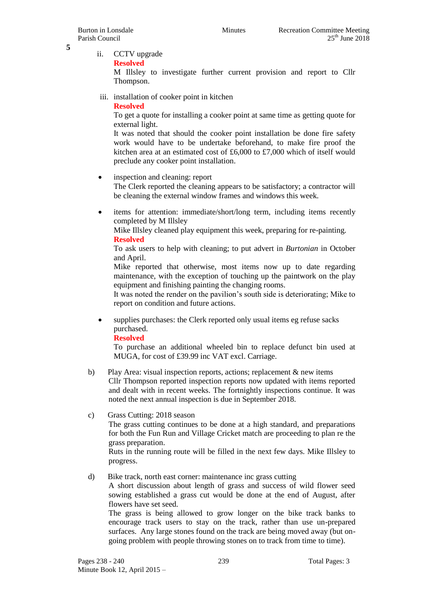**5**

ii. CCTV upgrade

**Resolved**

M Illsley to investigate further current provision and report to Cllr Thompson.

iii. installation of cooker point in kitchen

**Resolved**

To get a quote for installing a cooker point at same time as getting quote for external light.

It was noted that should the cooker point installation be done fire safety work would have to be undertake beforehand, to make fire proof the kitchen area at an estimated cost of £6,000 to £7,000 which of itself would preclude any cooker point installation.

• inspection and cleaning: report

The Clerk reported the cleaning appears to be satisfactory; a contractor will be cleaning the external window frames and windows this week.

 items for attention: immediate/short/long term, including items recently completed by M Illsley

Mike Illsley cleaned play equipment this week, preparing for re-painting. **Resolved**

To ask users to help with cleaning; to put advert in *Burtonian* in October and April.

Mike reported that otherwise, most items now up to date regarding maintenance, with the exception of touching up the paintwork on the play equipment and finishing painting the changing rooms.

It was noted the render on the pavilion's south side is deteriorating; Mike to report on condition and future actions.

 supplies purchases: the Clerk reported only usual items eg refuse sacks purchased.

**Resolved**

To purchase an additional wheeled bin to replace defunct bin used at MUGA, for cost of £39.99 inc VAT excl. Carriage.

b) Play Area: visual inspection reports, actions; replacement & new items Cllr Thompson reported inspection reports now updated with items reported and dealt with in recent weeks. The fortnightly inspections continue. It was noted the next annual inspection is due in September 2018.

# c) Grass Cutting: 2018 season

The grass cutting continues to be done at a high standard, and preparations for both the Fun Run and Village Cricket match are proceeding to plan re the grass preparation.

Ruts in the running route will be filled in the next few days. Mike Illsley to progress.

#### d) Bike track, north east corner: maintenance inc grass cutting

A short discussion about length of grass and success of wild flower seed sowing established a grass cut would be done at the end of August, after flowers have set seed.

The grass is being allowed to grow longer on the bike track banks to encourage track users to stay on the track, rather than use un-prepared surfaces. Any large stones found on the track are being moved away (but ongoing problem with people throwing stones on to track from time to time).